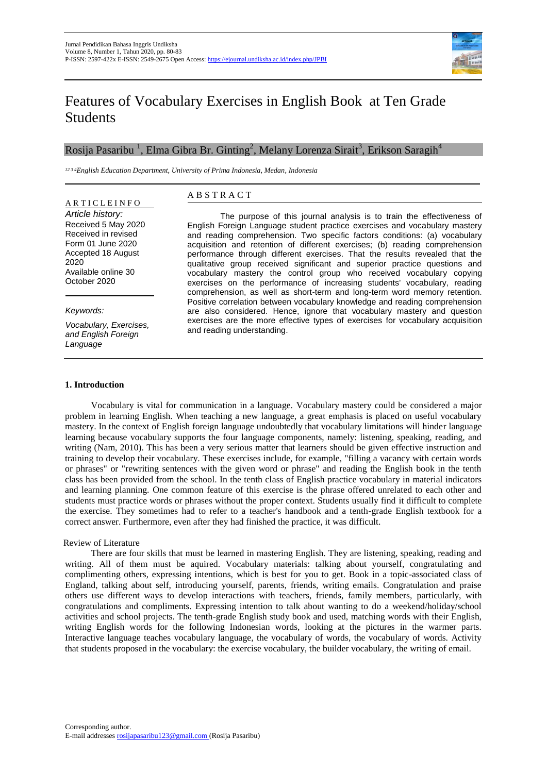

# Features of Vocabulary Exercises in English Book at Ten Grade Students

## Rosija Pasaribu  $^1$ , Elma Gibra Br. Ginting $^2$ , Melany Lorenza Sirait $^3$ , Erikson Saragih $^4$

*12 3 4English Education Department, University of Prima Indonesia, Medan, Indonesia*

## A R T I C L E I N F O

*Article history:*  Received 5 May 2020 Received in revised Form 01 June 2020 Accepted 18 August 2020 Available online 30 October 2020

#### *Keywords:*

*Vocabulary, Exercises, and English Foreign Language* 

### A B S T R A C T

The purpose of this journal analysis is to train the effectiveness of English Foreign Language student practice exercises and vocabulary mastery and reading comprehension. Two specific factors conditions: (a) vocabulary acquisition and retention of different exercises; (b) reading comprehension performance through different exercises. That the results revealed that the qualitative group received significant and superior practice questions and vocabulary mastery the control group who received vocabulary copying exercises on the performance of increasing students' vocabulary, reading comprehension, as well as short-term and long-term word memory retention. Positive correlation between vocabulary knowledge and reading comprehension are also considered. Hence, ignore that vocabulary mastery and question exercises are the more effective types of exercises for vocabulary acquisition and reading understanding.

#### **1. Introduction**

Vocabulary is vital for communication in a language. Vocabulary mastery could be considered a major problem in learning English. When teaching a new language, a great emphasis is placed on useful vocabulary mastery. In the context of English foreign language undoubtedly that vocabulary limitations will hinder language learning because vocabulary supports the four language components, namely: listening, speaking, reading, and writing (Nam, 2010). This has been a very serious matter that learners should be given effective instruction and training to develop their vocabulary. These exercises include, for example, "filling a vacancy with certain words or phrases" or "rewriting sentences with the given word or phrase" and reading the English book in the tenth class has been provided from the school. In the tenth class of English practice vocabulary in material indicators and learning planning. One common feature of this exercise is the phrase offered unrelated to each other and students must practice words or phrases without the proper context. Students usually find it difficult to complete the exercise. They sometimes had to refer to a teacher's handbook and a tenth-grade English textbook for a correct answer. Furthermore, even after they had finished the practice, it was difficult.

#### Review of Literature

There are four skills that must be learned in mastering English. They are listening, speaking, reading and writing. All of them must be aquired. Vocabulary materials: talking about yourself, congratulating and complimenting others, expressing intentions, which is best for you to get. Book in a topic-associated class of England, talking about self, introducing yourself, parents, friends, writing emails. Congratulation and praise others use different ways to develop interactions with teachers, friends, family members, particularly, with congratulations and compliments. Expressing intention to talk about wanting to do a weekend/holiday/school activities and school projects. The tenth-grade English study book and used, matching words with their English, writing English words for the following Indonesian words, looking at the pictures in the warmer parts. Interactive language teaches vocabulary language, the vocabulary of words, the vocabulary of words. Activity that students proposed in the vocabulary: the exercise vocabulary, the builder vocabulary, the writing of email.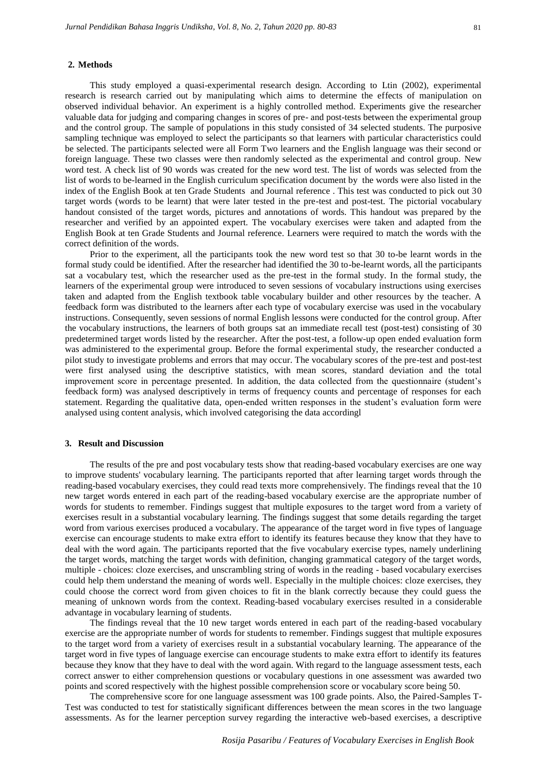#### **2. Methods**

This study employed a quasi-experimental research design. According to Ltin (2002), experimental research is research carried out by manipulating which aims to determine the effects of manipulation on observed individual behavior. An experiment is a highly controlled method. Experiments give the researcher valuable data for judging and comparing changes in scores of pre- and post-tests between the experimental group and the control group. The sample of populations in this study consisted of 34 selected students. The purposive sampling technique was employed to select the participants so that learners with particular characteristics could be selected. The participants selected were all Form Two learners and the English language was their second or foreign language. These two classes were then randomly selected as the experimental and control group. New word test. A check list of 90 words was created for the new word test. The list of words was selected from the list of words to be-learned in the English curriculum specification document by the words were also listed in the index of the English Book at ten Grade Students and Journal reference . This test was conducted to pick out 30 target words (words to be learnt) that were later tested in the pre-test and post-test. The pictorial vocabulary handout consisted of the target words, pictures and annotations of words. This handout was prepared by the researcher and verified by an appointed expert. The vocabulary exercises were taken and adapted from the English Book at ten Grade Students and Journal reference. Learners were required to match the words with the correct definition of the words.

Prior to the experiment, all the participants took the new word test so that 30 to-be learnt words in the formal study could be identified. After the researcher had identified the 30 to-be-learnt words, all the participants sat a vocabulary test, which the researcher used as the pre-test in the formal study. In the formal study, the learners of the experimental group were introduced to seven sessions of vocabulary instructions using exercises taken and adapted from the English textbook table vocabulary builder and other resources by the teacher. A feedback form was distributed to the learners after each type of vocabulary exercise was used in the vocabulary instructions. Consequently, seven sessions of normal English lessons were conducted for the control group. After the vocabulary instructions, the learners of both groups sat an immediate recall test (post-test) consisting of 30 predetermined target words listed by the researcher. After the post-test, a follow-up open ended evaluation form was administered to the experimental group. Before the formal experimental study, the researcher conducted a pilot study to investigate problems and errors that may occur. The vocabulary scores of the pre-test and post-test were first analysed using the descriptive statistics, with mean scores, standard deviation and the total improvement score in percentage presented. In addition, the data collected from the questionnaire (student's feedback form) was analysed descriptively in terms of frequency counts and percentage of responses for each statement. Regarding the qualitative data, open-ended written responses in the student's evaluation form were analysed using content analysis, which involved categorising the data accordingl

#### **3. Result and Discussion**

The results of the pre and post vocabulary tests show that reading-based vocabulary exercises are one way to improve students' vocabulary learning. The participants reported that after learning target words through the reading-based vocabulary exercises, they could read texts more comprehensively. The findings reveal that the 10 new target words entered in each part of the reading-based vocabulary exercise are the appropriate number of words for students to remember. Findings suggest that multiple exposures to the target word from a variety of exercises result in a substantial vocabulary learning. The findings suggest that some details regarding the target word from various exercises produced a vocabulary. The appearance of the target word in five types of language exercise can encourage students to make extra effort to identify its features because they know that they have to deal with the word again. The participants reported that the five vocabulary exercise types, namely underlining the target words, matching the target words with definition, changing grammatical category of the target words, multiple - choices: cloze exercises, and unscrambling string of words in the reading - based vocabulary exercises could help them understand the meaning of words well. Especially in the multiple choices: cloze exercises, they could choose the correct word from given choices to fit in the blank correctly because they could guess the meaning of unknown words from the context. Reading-based vocabulary exercises resulted in a considerable advantage in vocabulary learning of students.

The findings reveal that the 10 new target words entered in each part of the reading-based vocabulary exercise are the appropriate number of words for students to remember. Findings suggest that multiple exposures to the target word from a variety of exercises result in a substantial vocabulary learning. The appearance of the target word in five types of language exercise can encourage students to make extra effort to identify its features because they know that they have to deal with the word again. With regard to the language assessment tests, each correct answer to either comprehension questions or vocabulary questions in one assessment was awarded two points and scored respectively with the highest possible comprehension score or vocabulary score being 50.

The comprehensive score for one language assessment was 100 grade points. Also, the Paired-Samples T-Test was conducted to test for statistically significant differences between the mean scores in the two language assessments. As for the learner perception survey regarding the interactive web-based exercises, a descriptive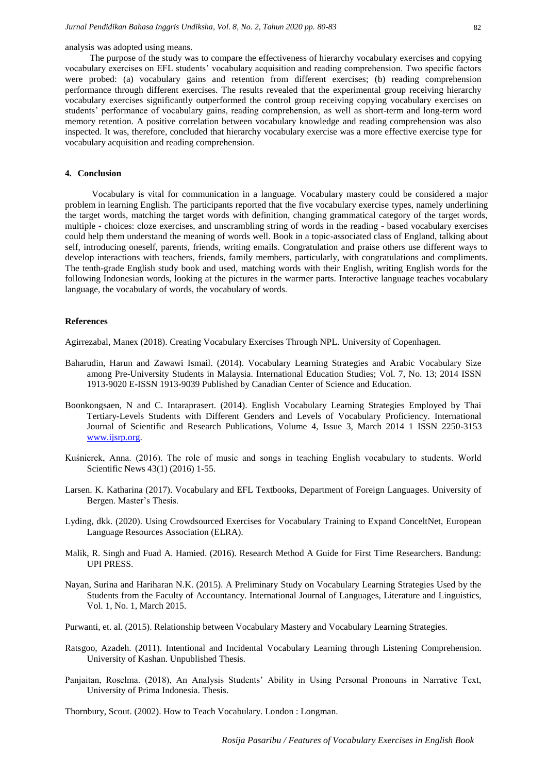analysis was adopted using means.

The purpose of the study was to compare the effectiveness of hierarchy vocabulary exercises and copying vocabulary exercises on EFL students' vocabulary acquisition and reading comprehension. Two specific factors were probed: (a) vocabulary gains and retention from different exercises; (b) reading comprehension performance through different exercises. The results revealed that the experimental group receiving hierarchy vocabulary exercises significantly outperformed the control group receiving copying vocabulary exercises on students' performance of vocabulary gains, reading comprehension, as well as short-term and long-term word memory retention. A positive correlation between vocabulary knowledge and reading comprehension was also inspected. It was, therefore, concluded that hierarchy vocabulary exercise was a more effective exercise type for vocabulary acquisition and reading comprehension.

#### **4. Conclusion**

Vocabulary is vital for communication in a language. Vocabulary mastery could be considered a major problem in learning English. The participants reported that the five vocabulary exercise types, namely underlining the target words, matching the target words with definition, changing grammatical category of the target words, multiple - choices: cloze exercises, and unscrambling string of words in the reading - based vocabulary exercises could help them understand the meaning of words well. Book in a topic-associated class of England, talking about self, introducing oneself, parents, friends, writing emails. Congratulation and praise others use different ways to develop interactions with teachers, friends, family members, particularly, with congratulations and compliments. The tenth-grade English study book and used, matching words with their English, writing English words for the following Indonesian words, looking at the pictures in the warmer parts. Interactive language teaches vocabulary language, the vocabulary of words, the vocabulary of words.

#### **References**

Agirrezabal, Manex (2018). Creating Vocabulary Exercises Through NPL. University of Copenhagen.

- Baharudin, Harun and Zawawi Ismail. (2014). Vocabulary Learning Strategies and Arabic Vocabulary Size among Pre-University Students in Malaysia. International Education Studies; Vol. 7, No. 13; 2014 ISSN 1913-9020 E-ISSN 1913-9039 Published by Canadian Center of Science and Education.
- Boonkongsaen, N and C. Intaraprasert. (2014). English Vocabulary Learning Strategies Employed by Thai Tertiary-Levels Students with Different Genders and Levels of Vocabulary Proficiency. International Journal of Scientific and Research Publications, Volume 4, Issue 3, March 2014 1 ISSN 2250-3153 [www.ijsrp.org.](http://www.ijsrp.org/)
- Kuśnierek, Anna. (2016). The role of music and songs in teaching English vocabulary to students. World Scientific News 43(1) (2016) 1-55.
- Larsen. K. Katharina (2017). Vocabulary and EFL Textbooks, Department of Foreign Languages. University of Bergen. Master's Thesis.
- Lyding, dkk. (2020). Using Crowdsourced Exercises for Vocabulary Training to Expand ConceltNet, European Language Resources Association (ELRA).
- Malik, R. Singh and Fuad A. Hamied. (2016). Research Method A Guide for First Time Researchers. Bandung: UPI PRESS.
- Nayan, Surina and Hariharan N.K. (2015). A Preliminary Study on Vocabulary Learning Strategies Used by the Students from the Faculty of Accountancy. International Journal of Languages, Literature and Linguistics, Vol. 1, No. 1, March 2015.
- Purwanti, et. al. (2015). Relationship between Vocabulary Mastery and Vocabulary Learning Strategies.
- Ratsgoo, Azadeh. (2011). Intentional and Incidental Vocabulary Learning through Listening Comprehension. University of Kashan. Unpublished Thesis.
- Panjaitan, Roselma. (2018), An Analysis Students' Ability in Using Personal Pronouns in Narrative Text, University of Prima Indonesia. Thesis.

Thornbury, Scout. (2002). How to Teach Vocabulary. London : Longman.